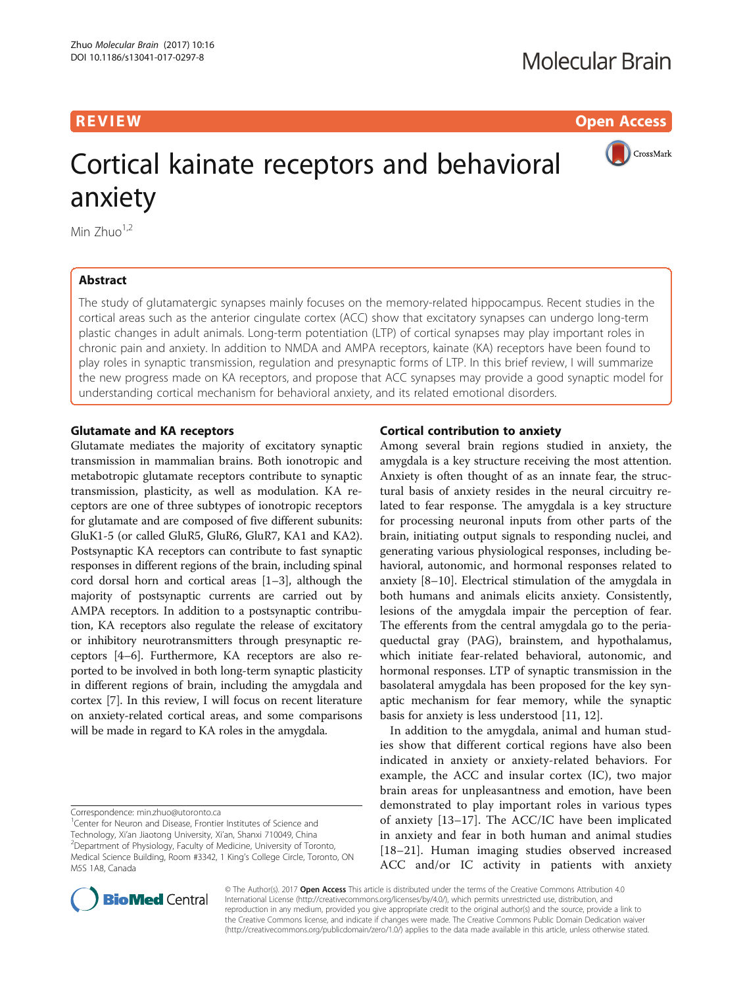**REVIEW ACCESS AND LOCAL CONTRACT CONTRACT OF ACCESS** 



# Cortical kainate receptors and behavioral anxiety

Min  $Zhuo<sup>1,2</sup>$ 

# Abstract

The study of glutamatergic synapses mainly focuses on the memory-related hippocampus. Recent studies in the cortical areas such as the anterior cingulate cortex (ACC) show that excitatory synapses can undergo long-term plastic changes in adult animals. Long-term potentiation (LTP) of cortical synapses may play important roles in chronic pain and anxiety. In addition to NMDA and AMPA receptors, kainate (KA) receptors have been found to play roles in synaptic transmission, regulation and presynaptic forms of LTP. In this brief review, I will summarize the new progress made on KA receptors, and propose that ACC synapses may provide a good synaptic model for understanding cortical mechanism for behavioral anxiety, and its related emotional disorders.

# Glutamate and KA receptors

Glutamate mediates the majority of excitatory synaptic transmission in mammalian brains. Both ionotropic and metabotropic glutamate receptors contribute to synaptic transmission, plasticity, as well as modulation. KA receptors are one of three subtypes of ionotropic receptors for glutamate and are composed of five different subunits: GluK1-5 (or called GluR5, GluR6, GluR7, KA1 and KA2). Postsynaptic KA receptors can contribute to fast synaptic responses in different regions of the brain, including spinal cord dorsal horn and cortical areas [\[1](#page-5-0)–[3](#page-5-0)], although the majority of postsynaptic currents are carried out by AMPA receptors. In addition to a postsynaptic contribution, KA receptors also regulate the release of excitatory or inhibitory neurotransmitters through presynaptic receptors [\[4](#page-5-0)–[6\]](#page-5-0). Furthermore, KA receptors are also reported to be involved in both long-term synaptic plasticity in different regions of brain, including the amygdala and cortex [\[7](#page-5-0)]. In this review, I will focus on recent literature on anxiety-related cortical areas, and some comparisons will be made in regard to KA roles in the amygdala.

Center for Neuron and Disease, Frontier Institutes of Science and Technology, Xi'an Jiaotong University, Xi'an, Shanxi 710049, China <sup>2</sup> <sup>2</sup>Department of Physiology, Faculty of Medicine, University of Toronto, Medical Science Building, Room #3342, 1 King's College Circle, Toronto, ON M5S 1A8, Canada

# Cortical contribution to anxiety

Among several brain regions studied in anxiety, the amygdala is a key structure receiving the most attention. Anxiety is often thought of as an innate fear, the structural basis of anxiety resides in the neural circuitry related to fear response. The amygdala is a key structure for processing neuronal inputs from other parts of the brain, initiating output signals to responding nuclei, and generating various physiological responses, including behavioral, autonomic, and hormonal responses related to anxiety [[8](#page-5-0)–[10](#page-5-0)]. Electrical stimulation of the amygdala in both humans and animals elicits anxiety. Consistently, lesions of the amygdala impair the perception of fear. The efferents from the central amygdala go to the periaqueductal gray (PAG), brainstem, and hypothalamus, which initiate fear-related behavioral, autonomic, and hormonal responses. LTP of synaptic transmission in the basolateral amygdala has been proposed for the key synaptic mechanism for fear memory, while the synaptic basis for anxiety is less understood [\[11](#page-5-0), [12](#page-5-0)].

In addition to the amygdala, animal and human studies show that different cortical regions have also been indicated in anxiety or anxiety-related behaviors. For example, the ACC and insular cortex (IC), two major brain areas for unpleasantness and emotion, have been demonstrated to play important roles in various types of anxiety [\[13](#page-5-0)–[17](#page-5-0)]. The ACC/IC have been implicated in anxiety and fear in both human and animal studies [[18](#page-5-0)–[21](#page-5-0)]. Human imaging studies observed increased ACC and/or IC activity in patients with anxiety



© The Author(s). 2017 Open Access This article is distributed under the terms of the Creative Commons Attribution 4.0 International License [\(http://creativecommons.org/licenses/by/4.0/](http://creativecommons.org/licenses/by/4.0/)), which permits unrestricted use, distribution, and reproduction in any medium, provided you give appropriate credit to the original author(s) and the source, provide a link to the Creative Commons license, and indicate if changes were made. The Creative Commons Public Domain Dedication waiver [\(http://creativecommons.org/publicdomain/zero/1.0/](http://creativecommons.org/publicdomain/zero/1.0/)) applies to the data made available in this article, unless otherwise stated.

Correspondence: [min.zhuo@utoronto.ca](mailto:min.zhuo@utoronto.ca) <sup>1</sup>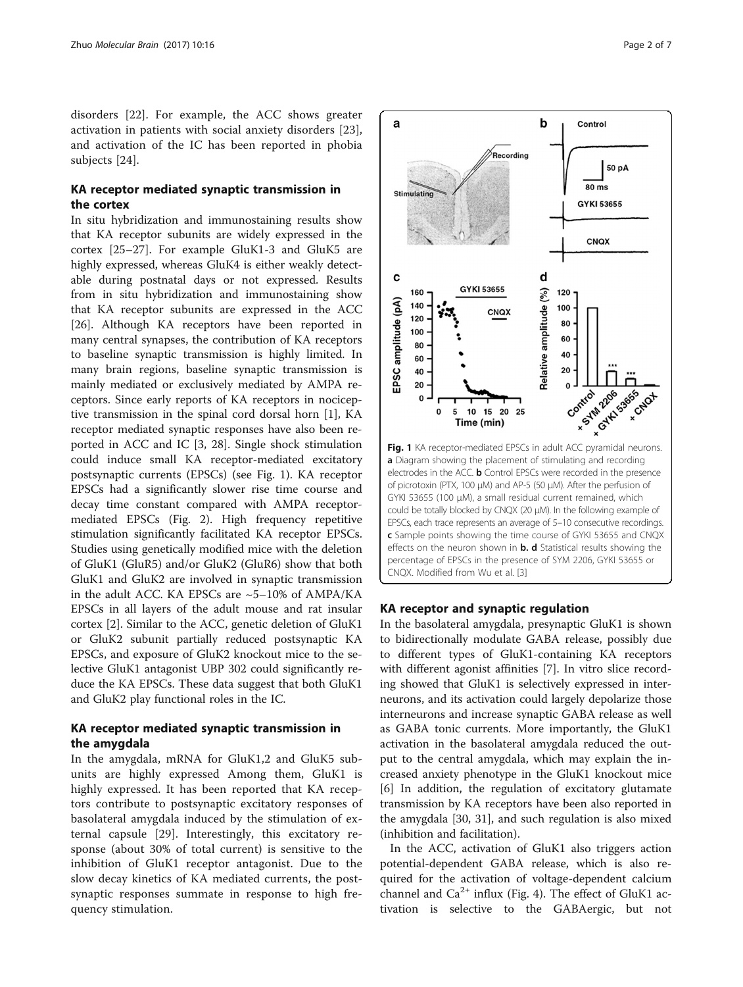disorders [[22\]](#page-5-0). For example, the ACC shows greater activation in patients with social anxiety disorders [\[23](#page-5-0)], and activation of the IC has been reported in phobia subjects [\[24](#page-5-0)].

# KA receptor mediated synaptic transmission in the cortex

In situ hybridization and immunostaining results show that KA receptor subunits are widely expressed in the cortex [[25](#page-5-0)–[27](#page-5-0)]. For example GluK1-3 and GluK5 are highly expressed, whereas GluK4 is either weakly detectable during postnatal days or not expressed. Results from in situ hybridization and immunostaining show that KA receptor subunits are expressed in the ACC [[26\]](#page-5-0). Although KA receptors have been reported in many central synapses, the contribution of KA receptors to baseline synaptic transmission is highly limited. In many brain regions, baseline synaptic transmission is mainly mediated or exclusively mediated by AMPA receptors. Since early reports of KA receptors in nociceptive transmission in the spinal cord dorsal horn [[1\]](#page-5-0), KA receptor mediated synaptic responses have also been reported in ACC and IC [[3, 28](#page-5-0)]. Single shock stimulation could induce small KA receptor-mediated excitatory postsynaptic currents (EPSCs) (see Fig. 1). KA receptor EPSCs had a significantly slower rise time course and decay time constant compared with AMPA receptormediated EPSCs (Fig. [2](#page-2-0)). High frequency repetitive stimulation significantly facilitated KA receptor EPSCs. Studies using genetically modified mice with the deletion of GluK1 (GluR5) and/or GluK2 (GluR6) show that both GluK1 and GluK2 are involved in synaptic transmission in the adult ACC. KA EPSCs are  $~5-10\%$  of AMPA/KA EPSCs in all layers of the adult mouse and rat insular cortex [\[2](#page-5-0)]. Similar to the ACC, genetic deletion of GluK1 or GluK2 subunit partially reduced postsynaptic KA EPSCs, and exposure of GluK2 knockout mice to the selective GluK1 antagonist UBP 302 could significantly reduce the KA EPSCs. These data suggest that both GluK1 and GluK2 play functional roles in the IC.

# KA receptor mediated synaptic transmission in the amygdala

In the amygdala, mRNA for GluK1,2 and GluK5 subunits are highly expressed Among them, GluK1 is highly expressed. It has been reported that KA receptors contribute to postsynaptic excitatory responses of basolateral amygdala induced by the stimulation of external capsule [[29](#page-5-0)]. Interestingly, this excitatory response (about 30% of total current) is sensitive to the inhibition of GluK1 receptor antagonist. Due to the slow decay kinetics of KA mediated currents, the postsynaptic responses summate in response to high frequency stimulation.



### KA receptor and synaptic regulation

In the basolateral amygdala, presynaptic GluK1 is shown to bidirectionally modulate GABA release, possibly due to different types of GluK1-containing KA receptors with different agonist affinities [\[7](#page-5-0)]. In vitro slice recording showed that GluK1 is selectively expressed in interneurons, and its activation could largely depolarize those interneurons and increase synaptic GABA release as well as GABA tonic currents. More importantly, the GluK1 activation in the basolateral amygdala reduced the output to the central amygdala, which may explain the increased anxiety phenotype in the GluK1 knockout mice [[6\]](#page-5-0) In addition, the regulation of excitatory glutamate transmission by KA receptors have been also reported in the amygdala [[30](#page-5-0), [31\]](#page-5-0), and such regulation is also mixed (inhibition and facilitation).

In the ACC, activation of GluK1 also triggers action potential-dependent GABA release, which is also required for the activation of voltage-dependent calcium channel and  $Ca^{2+}$  influx (Fig. [4](#page-4-0)). The effect of GluK1 activation is selective to the GABAergic, but not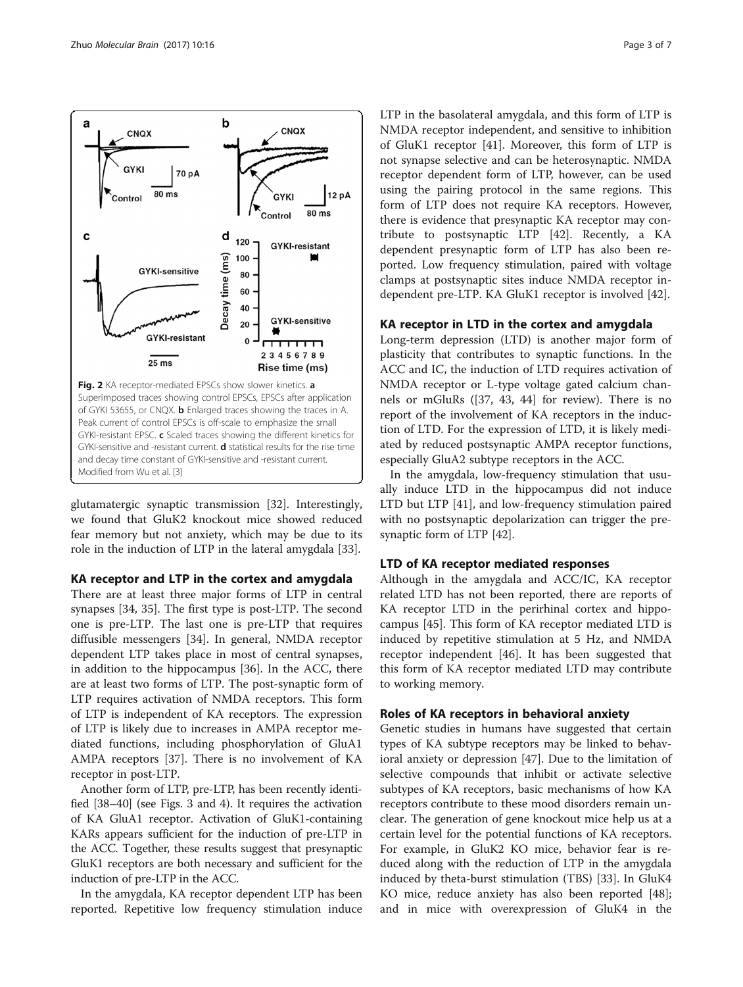glutamatergic synaptic transmission [[32\]](#page-5-0). Interestingly, we found that GluK2 knockout mice showed reduced fear memory but not anxiety, which may be due to its role in the induction of LTP in the lateral amygdala [\[33\]](#page-5-0).

# KA receptor and LTP in the cortex and amygdala

There are at least three major forms of LTP in central synapses [\[34, 35](#page-5-0)]. The first type is post-LTP. The second one is pre-LTP. The last one is pre-LTP that requires diffusible messengers [[34](#page-5-0)]. In general, NMDA receptor dependent LTP takes place in most of central synapses, in addition to the hippocampus [[36\]](#page-5-0). In the ACC, there are at least two forms of LTP. The post-synaptic form of LTP requires activation of NMDA receptors. This form of LTP is independent of KA receptors. The expression of LTP is likely due to increases in AMPA receptor mediated functions, including phosphorylation of GluA1 AMPA receptors [\[37\]](#page-5-0). There is no involvement of KA receptor in post-LTP.

Another form of LTP, pre-LTP, has been recently identified [\[38](#page-5-0)–[40](#page-5-0)] (see Figs. [3](#page-3-0) and [4](#page-4-0)). It requires the activation of KA GluA1 receptor. Activation of GluK1-containing KARs appears sufficient for the induction of pre-LTP in the ACC. Together, these results suggest that presynaptic GluK1 receptors are both necessary and sufficient for the induction of pre-LTP in the ACC.

In the amygdala, KA receptor dependent LTP has been reported. Repetitive low frequency stimulation induce LTP in the basolateral amygdala, and this form of LTP is NMDA receptor independent, and sensitive to inhibition of GluK1 receptor [[41\]](#page-5-0). Moreover, this form of LTP is not synapse selective and can be heterosynaptic. NMDA receptor dependent form of LTP, however, can be used using the pairing protocol in the same regions. This form of LTP does not require KA receptors. However, there is evidence that presynaptic KA receptor may contribute to postsynaptic LTP [[42\]](#page-6-0). Recently, a KA dependent presynaptic form of LTP has also been reported. Low frequency stimulation, paired with voltage clamps at postsynaptic sites induce NMDA receptor independent pre-LTP. KA GluK1 receptor is involved [\[42\]](#page-6-0).

# KA receptor in LTD in the cortex and amygdala

Long-term depression (LTD) is another major form of plasticity that contributes to synaptic functions. In the ACC and IC, the induction of LTD requires activation of NMDA receptor or L-type voltage gated calcium channels or mGluRs ([[37](#page-5-0), [43](#page-6-0), [44\]](#page-6-0) for review). There is no report of the involvement of KA receptors in the induction of LTD. For the expression of LTD, it is likely mediated by reduced postsynaptic AMPA receptor functions, especially GluA2 subtype receptors in the ACC.

In the amygdala, low-frequency stimulation that usually induce LTD in the hippocampus did not induce LTD but LTP [\[41\]](#page-5-0), and low-frequency stimulation paired with no postsynaptic depolarization can trigger the presynaptic form of LTP [[42](#page-6-0)].

# LTD of KA receptor mediated responses

Although in the amygdala and ACC/IC, KA receptor related LTD has not been reported, there are reports of KA receptor LTD in the perirhinal cortex and hippocampus [\[45](#page-6-0)]. This form of KA receptor mediated LTD is induced by repetitive stimulation at 5 Hz, and NMDA receptor independent [\[46\]](#page-6-0). It has been suggested that this form of KA receptor mediated LTD may contribute to working memory.

## Roles of KA receptors in behavioral anxiety

Genetic studies in humans have suggested that certain types of KA subtype receptors may be linked to behavioral anxiety or depression [\[47\]](#page-6-0). Due to the limitation of selective compounds that inhibit or activate selective subtypes of KA receptors, basic mechanisms of how KA receptors contribute to these mood disorders remain unclear. The generation of gene knockout mice help us at a certain level for the potential functions of KA receptors. For example, in GluK2 KO mice, behavior fear is reduced along with the reduction of LTP in the amygdala induced by theta-burst stimulation (TBS) [[33](#page-5-0)]. In GluK4 KO mice, reduce anxiety has also been reported [\[48](#page-6-0)]; and in mice with overexpression of GluK4 in the

<span id="page-2-0"></span>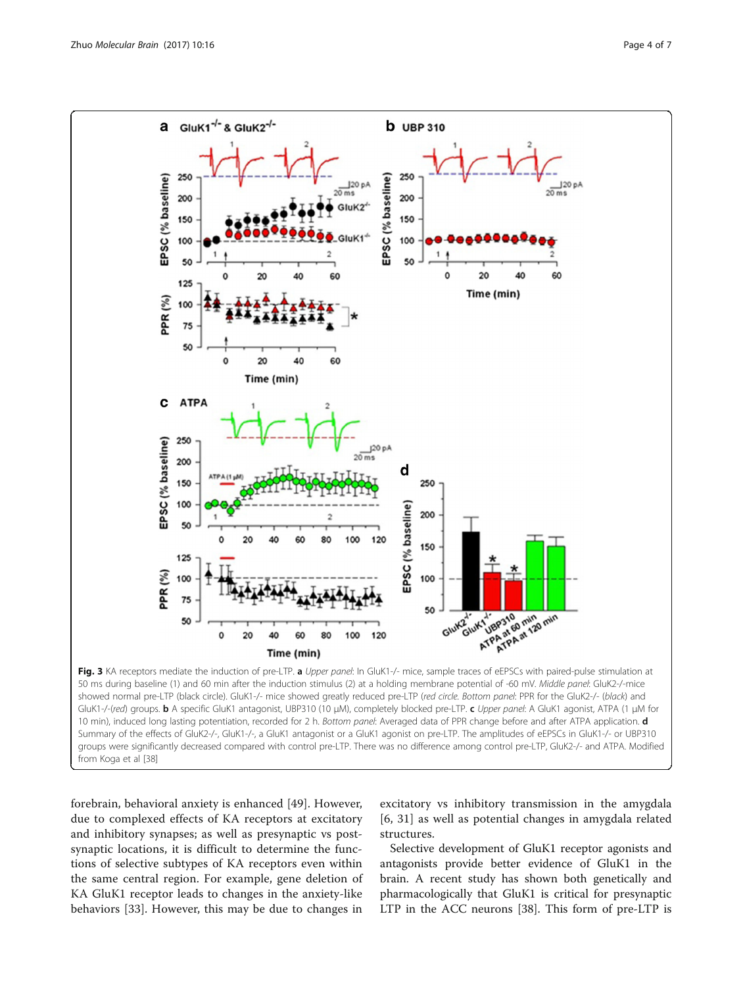<span id="page-3-0"></span>

forebrain, behavioral anxiety is enhanced [[49](#page-6-0)]. However, due to complexed effects of KA receptors at excitatory and inhibitory synapses; as well as presynaptic vs postsynaptic locations, it is difficult to determine the functions of selective subtypes of KA receptors even within the same central region. For example, gene deletion of KA GluK1 receptor leads to changes in the anxiety-like behaviors [[33\]](#page-5-0). However, this may be due to changes in excitatory vs inhibitory transmission in the amygdala [[6, 31\]](#page-5-0) as well as potential changes in amygdala related structures.

Selective development of GluK1 receptor agonists and antagonists provide better evidence of GluK1 in the brain. A recent study has shown both genetically and pharmacologically that GluK1 is critical for presynaptic LTP in the ACC neurons [\[38\]](#page-5-0). This form of pre-LTP is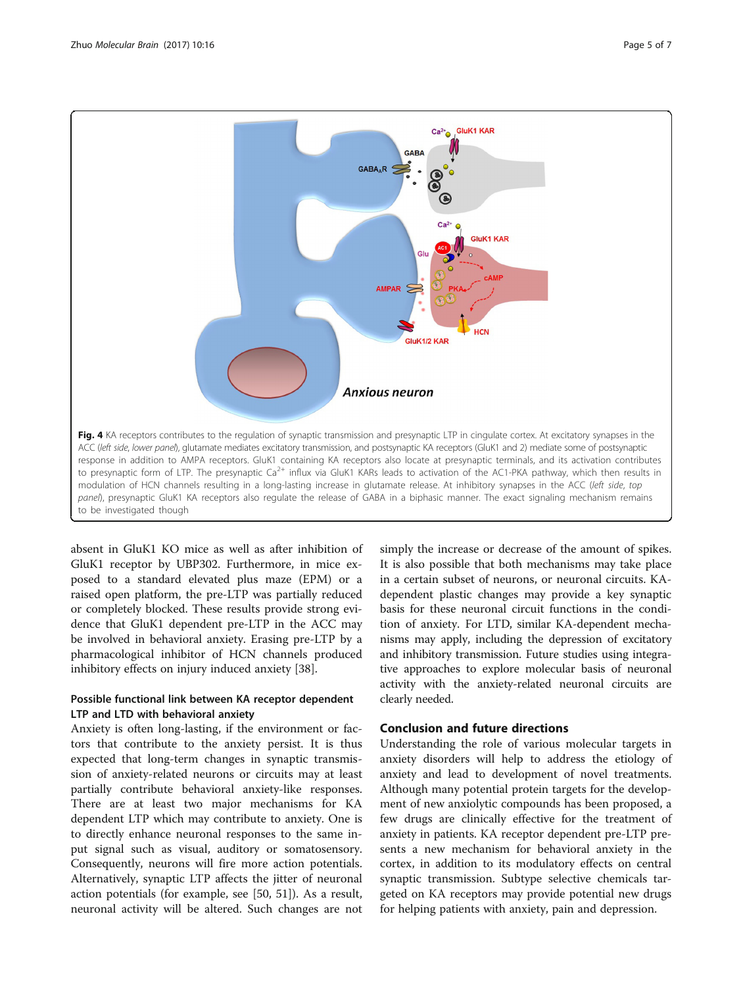<span id="page-4-0"></span>

absent in GluK1 KO mice as well as after inhibition of GluK1 receptor by UBP302. Furthermore, in mice exposed to a standard elevated plus maze (EPM) or a raised open platform, the pre-LTP was partially reduced or completely blocked. These results provide strong evidence that GluK1 dependent pre-LTP in the ACC may be involved in behavioral anxiety. Erasing pre-LTP by a pharmacological inhibitor of HCN channels produced inhibitory effects on injury induced anxiety [\[38](#page-5-0)].

# Possible functional link between KA receptor dependent LTP and LTD with behavioral anxiety

Anxiety is often long-lasting, if the environment or factors that contribute to the anxiety persist. It is thus expected that long-term changes in synaptic transmission of anxiety-related neurons or circuits may at least partially contribute behavioral anxiety-like responses. There are at least two major mechanisms for KA dependent LTP which may contribute to anxiety. One is to directly enhance neuronal responses to the same input signal such as visual, auditory or somatosensory. Consequently, neurons will fire more action potentials. Alternatively, synaptic LTP affects the jitter of neuronal action potentials (for example, see [[50, 51](#page-6-0)]). As a result, neuronal activity will be altered. Such changes are not

simply the increase or decrease of the amount of spikes. It is also possible that both mechanisms may take place in a certain subset of neurons, or neuronal circuits. KAdependent plastic changes may provide a key synaptic basis for these neuronal circuit functions in the condition of anxiety. For LTD, similar KA-dependent mechanisms may apply, including the depression of excitatory and inhibitory transmission. Future studies using integrative approaches to explore molecular basis of neuronal activity with the anxiety-related neuronal circuits are clearly needed.

# Conclusion and future directions

Understanding the role of various molecular targets in anxiety disorders will help to address the etiology of anxiety and lead to development of novel treatments. Although many potential protein targets for the development of new anxiolytic compounds has been proposed, a few drugs are clinically effective for the treatment of anxiety in patients. KA receptor dependent pre-LTP presents a new mechanism for behavioral anxiety in the cortex, in addition to its modulatory effects on central synaptic transmission. Subtype selective chemicals targeted on KA receptors may provide potential new drugs for helping patients with anxiety, pain and depression.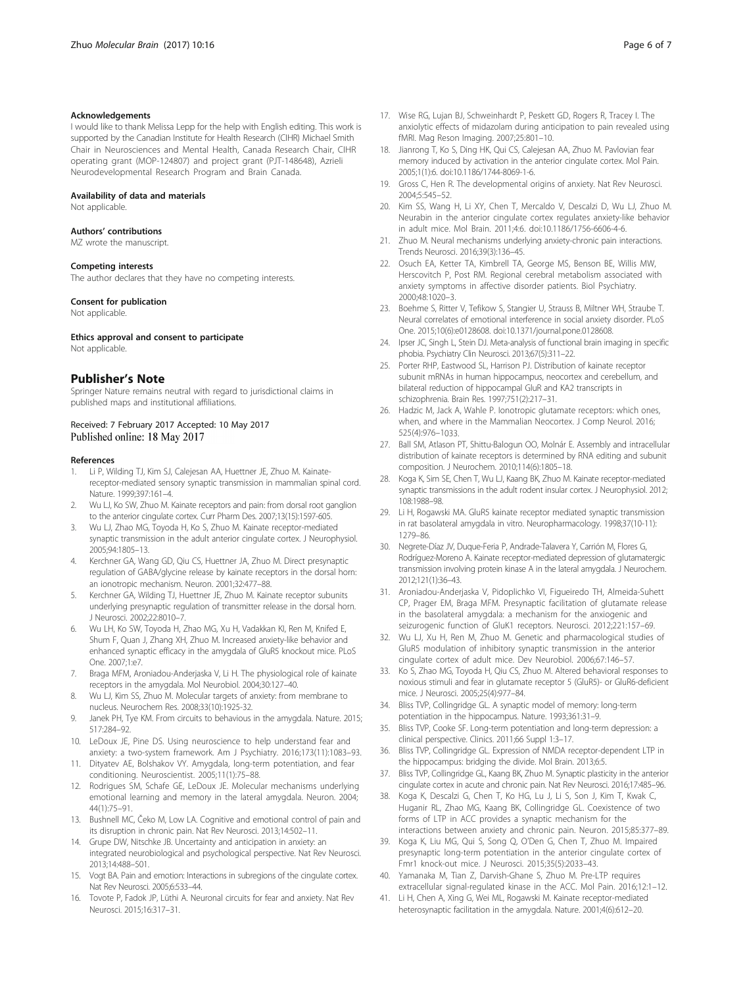#### <span id="page-5-0"></span>Acknowledgements

I would like to thank Melissa Lepp for the help with English editing. This work is supported by the Canadian Institute for Health Research (CIHR) Michael Smith Chair in Neurosciences and Mental Health, Canada Research Chair, CIHR operating grant (MOP-124807) and project grant (PJT-148648), Azrieli Neurodevelopmental Research Program and Brain Canada.

#### Availability of data and materials

Not applicable.

#### Authors' contributions

MZ wrote the manuscript.

#### Competing interests

The author declares that they have no competing interests.

#### Consent for publication

Not applicable.

#### Ethics approval and consent to participate

Not applicable.

# Publisher's Note

Springer Nature remains neutral with regard to jurisdictional claims in published maps and institutional affiliations.

#### Received: 7 February 2017 Accepted: 10 May 2017 Published online: 18 May 2017

#### References

- 1. Li P, Wilding TJ, Kim SJ, Calejesan AA, Huettner JE, Zhuo M. Kainatereceptor-mediated sensory synaptic transmission in mammalian spinal cord. Nature. 1999;397:161–4.
- 2. Wu LJ, Ko SW, Zhuo M. Kainate receptors and pain: from dorsal root ganglion to the anterior cingulate cortex. Curr Pharm Des. 2007;13(15):1597-605.
- 3. Wu LJ, Zhao MG, Toyoda H, Ko S, Zhuo M. Kainate receptor-mediated synaptic transmission in the adult anterior cingulate cortex. J Neurophysiol. 2005;94:1805–13.
- 4. Kerchner GA, Wang GD, Qiu CS, Huettner JA, Zhuo M. Direct presynaptic regulation of GABA/glycine release by kainate receptors in the dorsal horn: an ionotropic mechanism. Neuron. 2001;32:477–88.
- 5. Kerchner GA, Wilding TJ, Huettner JE, Zhuo M. Kainate receptor subunits underlying presynaptic regulation of transmitter release in the dorsal horn. J Neurosci. 2002;22:8010–7.
- 6. Wu LH, Ko SW, Toyoda H, Zhao MG, Xu H, Vadakkan KI, Ren M, Knifed E, Shum F, Quan J, Zhang XH, Zhuo M. Increased anxiety-like behavior and enhanced synaptic efficacy in the amygdala of GluR5 knockout mice. PLoS One. 2007;1:e7.
- 7. Braga MFM, Aroniadou-Anderjaska V, Li H. The physiological role of kainate receptors in the amygdala. Mol Neurobiol. 2004;30:127–40.
- 8. Wu LJ, Kim SS, Zhuo M. Molecular targets of anxiety: from membrane to nucleus. Neurochem Res. 2008;33(10):1925-32.
- 9. Janek PH, Tye KM. From circuits to behavious in the amygdala. Nature. 2015; 517:284–92.
- 10. LeDoux JE, Pine DS. Using neuroscience to help understand fear and anxiety: a two-system framework. Am J Psychiatry. 2016;173(11):1083–93.
- 11. Dityatev AE, Bolshakov VY. Amygdala, long-term potentiation, and fear conditioning. Neuroscientist. 2005;11(1):75–88.
- 12. Rodrigues SM, Schafe GE, LeDoux JE. Molecular mechanisms underlying emotional learning and memory in the lateral amygdala. Neuron. 2004; 44(1):75–91.
- 13. Bushnell MC, Čeko M, Low LA. Cognitive and emotional control of pain and its disruption in chronic pain. Nat Rev Neurosci. 2013;14:502–11.
- 14. Grupe DW, Nitschke JB. Uncertainty and anticipation in anxiety: an integrated neurobiological and psychological perspective. Nat Rev Neurosci. 2013;14:488–501.
- 15. Vogt BA. Pain and emotion: Interactions in subregions of the cingulate cortex. Nat Rev Neurosci. 2005;6:533–44.
- 16. Tovote P, Fadok JP, Lüthi A. Neuronal circuits for fear and anxiety. Nat Rev Neurosci. 2015;16:317–31.
- 17. Wise RG, Lujan BJ, Schweinhardt P, Peskett GD, Rogers R, Tracey I. The anxiolytic effects of midazolam during anticipation to pain revealed using fMRI. Mag Reson Imaging. 2007;25:801–10.
- 18. Jianrong T, Ko S, Ding HK, Qui CS, Calejesan AA, Zhuo M. Pavlovian fear memory induced by activation in the anterior cingulate cortex. Mol Pain. 2005;1(1):6. doi[:10.1186/1744-8069-1-6.](http://dx.doi.org/10.1186/1744-8069-1-6)
- 19. Gross C, Hen R. The developmental origins of anxiety. Nat Rev Neurosci. 2004;5:545–52.
- 20. Kim SS, Wang H, Li XY, Chen T, Mercaldo V, Descalzi D, Wu LJ, Zhuo M. Neurabin in the anterior cingulate cortex regulates anxiety-like behavior in adult mice. Mol Brain. 2011;4:6. doi:[10.1186/1756-6606-4-6](http://dx.doi.org/10.1186/1756-6606-4-6).
- 21. Zhuo M. Neural mechanisms underlying anxiety-chronic pain interactions. Trends Neurosci. 2016;39(3):136–45.
- 22. Osuch EA, Ketter TA, Kimbrell TA, George MS, Benson BE, Willis MW, Herscovitch P, Post RM. Regional cerebral metabolism associated with anxiety symptoms in affective disorder patients. Biol Psychiatry. 2000;48:1020–3.
- 23. Boehme S, Ritter V, Tefikow S, Stangier U, Strauss B, Miltner WH, Straube T. Neural correlates of emotional interference in social anxiety disorder. PLoS One. 2015;10(6):e0128608. doi:[10.1371/journal.pone.0128608.](http://dx.doi.org/10.1371/journal.pone.0128608)
- 24. Ipser JC, Singh L, Stein DJ. Meta-analysis of functional brain imaging in specific phobia. Psychiatry Clin Neurosci. 2013;67(5):311–22.
- 25. Porter RHP, Eastwood SL, Harrison PJ. Distribution of kainate receptor subunit mRNAs in human hippocampus, neocortex and cerebellum, and bilateral reduction of hippocampal GluR and KA2 transcripts in schizophrenia. Brain Res. 1997;751(2):217–31.
- 26. Hadzic M, Jack A, Wahle P. Ionotropic glutamate receptors: which ones, when, and where in the Mammalian Neocortex. J Comp Neurol. 2016; 525(4):976–1033.
- 27. Ball SM, Atlason PT, Shittu-Balogun OO, Molnár E. Assembly and intracellular distribution of kainate receptors is determined by RNA editing and subunit composition. J Neurochem. 2010;114(6):1805–18.
- 28. Koga K, Sim SE, Chen T, Wu LJ, Kaang BK, Zhuo M. Kainate receptor-mediated synaptic transmissions in the adult rodent insular cortex. J Neurophysiol. 2012; 108:1988–98.
- 29. Li H, Rogawski MA. GluR5 kainate receptor mediated synaptic transmission in rat basolateral amygdala in vitro. Neuropharmacology. 1998;37(10-11): 1279–86.
- 30. Negrete-Díaz JV, Duque-Feria P, Andrade-Talavera Y, Carrión M, Flores G, Rodríguez-Moreno A. Kainate receptor-mediated depression of glutamatergic transmission involving protein kinase A in the lateral amygdala. J Neurochem. 2012;121(1):36–43.
- 31. Aroniadou-Anderjaska V, Pidoplichko VI, Figueiredo TH, Almeida-Suhett CP, Prager EM, Braga MFM. Presynaptic facilitation of glutamate release in the basolateral amygdala: a mechanism for the anxiogenic and seizurogenic function of GluK1 receptors. Neurosci. 2012;221:157–69.
- 32. Wu LJ, Xu H, Ren M, Zhuo M. Genetic and pharmacological studies of GluR5 modulation of inhibitory synaptic transmission in the anterior cingulate cortex of adult mice. Dev Neurobiol. 2006;67:146–57.
- 33. Ko S, Zhao MG, Toyoda H, Qiu CS, Zhuo M. Altered behavioral responses to noxious stimuli and fear in glutamate receptor 5 (GluR5)- or GluR6-deficient mice. J Neurosci. 2005;25(4):977–84.
- 34. Bliss TVP, Collingridge GL. A synaptic model of memory: long-term potentiation in the hippocampus. Nature. 1993;361:31–9.
- 35. Bliss TVP, Cooke SF. Long-term potentiation and long-term depression: a clinical perspective. Clinics. 2011;66 Suppl 1:3–17.
- 36. Bliss TVP, Collingridge GL. Expression of NMDA receptor-dependent LTP in the hippocampus: bridging the divide. Mol Brain. 2013;6:5.
- 37. Bliss TVP, Collingridge GL, Kaang BK, Zhuo M. Synaptic plasticity in the anterior cingulate cortex in acute and chronic pain. Nat Rev Neurosci. 2016;17:485–96.
- 38. Koga K, Descalzi G, Chen T, Ko HG, Lu J, Li S, Son J, Kim T, Kwak C, Huganir RL, Zhao MG, Kaang BK, Collingridge GL. Coexistence of two forms of LTP in ACC provides a synaptic mechanism for the interactions between anxiety and chronic pain. Neuron. 2015;85:377–89.
- 39. Koga K, Liu MG, Qui S, Song Q, O'Den G, Chen T, Zhuo M. Impaired presynaptic long-term potentiation in the anterior cingulate cortex of Fmr1 knock-out mice. J Neurosci. 2015;35(5):2033–43.
- 40. Yamanaka M, Tian Z, Darvish-Ghane S, Zhuo M. Pre-LTP requires extracellular signal-regulated kinase in the ACC. Mol Pain. 2016;12:1–12.
- 41. Li H, Chen A, Xing G, Wei ML, Rogawski M. Kainate receptor-mediated heterosynaptic facilitation in the amygdala. Nature. 2001;4(6):612–20.